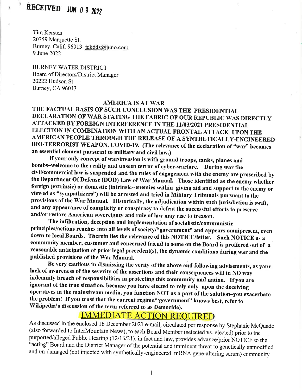Tim Kersten 20359 Marquette St. Burney, Calif. 96013 takdds@juno.com 9 June2022

BURNEY WATER DISTRICT Board of Directors/District Manager 20222 Hudson St. Burney, CA 96013

## AMERICA IS AT WAR

THE FACTUAL BASIS OF SUCH CONCLUSION WAS THE PRESIDENTIAL DECLARATION OF'WAR STATING THE FABRIC OF OUR REPUBLIC WAS DIRECTLY ATTACKED BY FOREIGN INTERFERENCE IN THE 11/03/2021 PRESIDENTIAL ELECTION IN COMBINATION WITH AN ACTUAL FRONTAL ATTACK UPON THE AMERICAN PEOPLE THROUGH THE RELEASE OF A SYNTHETICALLY.ENGINEERED BIO-TERRORIST WEAPON, COVID-19. (The relevance of the declaration of "war" becomes an essential element pursuant to military and civil law.)

If your only concept of war/invasion is with ground troops, tanks, planes and bombs-welcome to the reality and unseen terror of cyber-warfare. During war the civiUcommercial law is suspended and the rules of engagement with the enemy are proscribed by the Department Of Defense (DOD) Law of War Manual. Those identified as the enemy whether foreign (extrinsic) or domestic (intrinsic--enemies within giving aid and support to the enemy or viewed as "sympathizers") will be arrested and tried in Military Tribunals pursuant to the provisions of the War Manual. Historically, the adjudication within such jurisdiction is swift, and any appearance of complicity or conspiracy to defeat the successful efforts to preserve and/or restore American sovereignty and rule of law may rise to treason.

The infiltration, deception and implementation of socialistic/communistic principles/actions reaches into all levels of society/"government" and appears omnipresent, even down to local Boards. Therein lies the relevance of this NOTICE/letter. Such NOTICE as a community member, customer and concerned friend to some on the Board is proffered out of <sup>a</sup> reasonable anticipation of prior legal precedent(s), the dynamic conditions during war and the published provisions of the War Manual.

Be very cautious in dismissing the verity of the above and following advisements, as your lack of awareness of the severity of the assertions and their consequences will in NO way indemnify breach of responsibilities in protecting this community and nation. If you are ignorant of the true situation, because you have elected to rely only upon the deceiving operatives in the mainstream media, you function NOT as a part of the solution-you exacerbate the problem! If you trust that the current regime/"government" knows best, refer to Wikipedia's discussion of the term referred to as Democide).

# **IMMEDIATE ACTION REQUIRED**

As discussed in the enclosed 16 December 2021 e-mail, circulated per response by Stephanie McQuade (also forwarded to InterMountain News), to each Board Member (selected vs. elected) prior to the purported/alleged Public Hearing (12/16/21), in fact and law, provides advance/prior NOTICE to the "acting" Board and the District Manager of the potential and imminent threat to genetically unmodified and un-damaged (not injected with synthetically-engineered mRNA gene-altering serum) community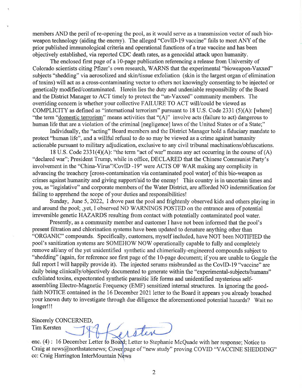members AND the peril of re-opening the pool, as it would serve as a transmission vector of such bioweapon technology (aiding the enemy). The alleged "CovID-19 vaccine" fails to meet ANY of the prior published immunological criteria and operational functions of a true vaccine and has been objectively established, via reported CDC death rates, as a genocidal attack upon humanity.

The enclosed first page of a 10-page publication referencing a release from University of Colorado scientists citing Pfizer's own research, WARNS that the experimental "bioweapon-Vaxxed" subjects "shedding" via aerosolized and skin/tissue exfoliation (skin is the largest organ of elimination of toxins) will act as a cross-contaminating vector to others not knowingly consenting to be injected or genetically modified/contaminated. Herein lies the duty and undeniable responsibility of the Board and the District Manager to ACT timely to protect the "un-Vaxxed" community members. The overriding concern is whether your collective FAILURE TO ACT will/could be viewed as COMPLICITY as defined as "international terrorism" pursuant to  $18$  U.S. Code  $2331$  (5)(A): [where] "the term "domestic terrorism" means activities that " $(A)$ " involve acts (failure to act) dangerous to human life that are a violation of the criminal [negligence] laws of the United States or of a State;"

Individually, the "acting" Board members and the District Manager hold a fiduciary mandate to protect "human life", and a willful refusal to do so may be viewed as a crime against humanity actionable pursuant to military adjudication, exclusive to any civil tribunal machinations/obfuscations.

18 U.S. Code 2331(4)(A): "the term "act of war" means any act occurring in the course of (A) "declared war"; President Trump, while in office, DECLARED that the Chinese Communist Party's involvement in the "China-Virus"/CovID -19" were ACTS OF WAR making any complicity in advancing the treachery [cross-contamination via contaminated pool water] of this bio-weapon as crimes against humanity and giving support/aid to the enemy! This country is in uncertain times and you, as "legislative" and corporate members of the Water District, are afforded NO indemnification for failing to apprehend the scope of your duties and responsibilities!

Sunday, June 5, 2022, I drove past the pool and frightenly observed kids and others playing in and around the pool; ,yet, I observed NO WARNINGS POSTED on the entrance area of potential irreversible genetic HAZARDS resulting from contact with potentially contaminated pool water.

Presently, as a community member and customer I have not been informed that the pool's present filtration and chlorination systems have been updated to denature anything other than "ORGANIC" compounds. Specifically, customers, myself included, have NOT been NOTIFIED the pool's sanitization systems are SOMEHOW NOW operationally capable to fully and completely remove all/any of the yet unidentified synthetic and chimerically-engineered compounds subject to "shedding" (again, for reference see first page of the 10-page document; if you are unable to Goggle the full report I will happily provide it). The injected serums misbranded as the CovID-19 "vaccine" are daily being clinically/objectively documented to generate within the "experimental-subjects/humans" exfoliated toxins, expectorated synthetic parasitic life forms and unidentified mysterious selfassembling Electro-Magnetic Frequency (EMF) sensitized internal structures. In ignoring the goodfaith NOTICE contained in the 16 December 2021 letter to the Board it appears you already breached your known duty to investigate through due diligence the aforementioned potential hazards? Wait no longer!!!

Sincerely CONCERNED,

Tim Kersten

I'm Kersten<br>enc. (4) : 16 December Letter to Board; Letter to Stephanie McQuade with her response; Notice to

Craig at news@northstatenews; Cover page of "new study" proving COVID "VACCINE SHEDDING" cc: Craig Harrington InterMountain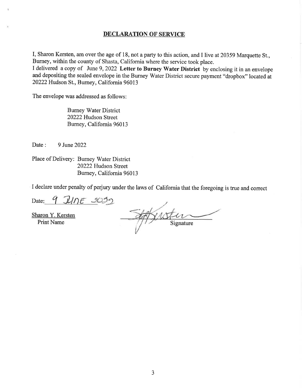### DECLARATION OF SERVICE

I, Sharon Kersten, am over the age of 18, not a party to this action, and I live at 20359 Marquette St., Burney, within the county of Shasta, california where the service took place.

<sup>I</sup>delivered a copy of June 9,2022 Letter to Burney Water District by enclosing it in an envelope and depositing the sealed envelope in the Burney Water District secure payment "dropbox" located at 20222 Hudson St., Bumey, California 96013

The envelope was addressed as follows:

Burney Water District 20222 Hudson Street Burney, California 96013

Date : 9 June 2022

Place of Delivery: Burney Water District 20222 Hudson Street Burney, California 96013

I declare under penalty of perjury under the laws of California that the foregoing is true and correct

 $JUNE$  2029 Date:

Sharon Y. Kersten

Print Name State Signature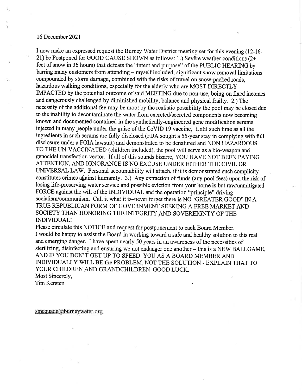#### 16 December 2021

I now make an expressed request the Burney Water District meeting set for this evening (12-16- 21) be Postponed for GOOD CAUSE SHOWN as follows: 1.) Severe weather conditions  $(2+)$ feet of snow in 36 hours) that defeats the "intent and purpose" of the PUBLIC HEARING by barring many customers from attending – myself included, significant snow removal limitations compounded by storm damage, combined with the risks of travel on snow-packed roads, hazardous walking conditions, especially for the elderly who are MOST DIRECTLY IMPACTED by the potential outcome of said MEETING due to non-use, being on fixed incomes and dangerously challenged by diminished mobility, balance and physical frailty. 2.) The necessity of the additional fee may be moot by the realistic possibility the pool may be closed due to the inability to decontaminate the water from excreted/secreted components now becoming known and documented contained in the synthetically-engineered gene modification serums injected in many people under the guise of the CoVID 19 vaccine. Until such time as all the ingredients in such serums are fully disclosed (FDA sought a 55-year stay in complying with full disclosure under a FOIA lawsuit) and demonstrated to be denatured and NON HAZARDOUS TO THE UN-VACCINATED (children included), the pool will serve as a bio-weapon and genocidal transfection vector. If all of this sounds bizane, YOU HAVE NOT BEEN PAYING ATTENTION, AND IGNORANCE IS NO EXCUSE LINDER EITHER THE CIVIL OR LINIVERSAL LAW. Personal accountability will attach, if it is demonstrated such complicity constitutes crimes-afainst humanity. 3.) Any extraction of funds (any pool fees) upon the risk of losing life-preserving water service and possible eviction from your home is but raw/unmitigated FORCE against the will of the INDIVIDUAL and the operation "principle" driving socialism/communism. Call it what it is-never forget there is NO 'GREATER GOOD" IN A TRUE REPUBLICAN FORM OF GOVERNMENT SEEKING A FREE MARKET AND SOCIETY THAN HONORING THE INTEGRITY AND SOVEREIGNTY OF THE INDIVIDUAL!

Please circulate this NOTICE and request for postponement to each Board Member. I would be happy to assist the Board in working toward a safe and healthy solution to this real and emerging danger. I have spent nearly 50 years in an awareness of the necessities of sterilizing, disinfecting and ensuring we not endanger one another - this is a NEW BALLGAME, AND IF YOU DON'T GET UP TO SPEED-YOU AS A BOARD MEMBER AND INDIVIDUALLY WILL BE the PROBLEM, NOT THE SOLUTION - EXPLAIN THAT TO YOUR CHILDREN AND GRANDCHILDREN-GOOD LUCK. Most Sincerely,

Tim Kersten

smcquade@burneywater.org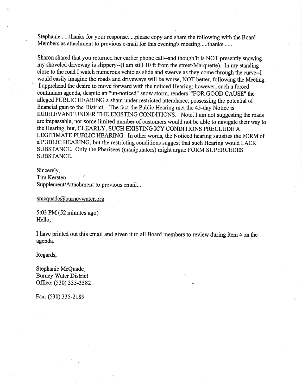Stephanie......thanks for your response.....please copy and share the following with the Board Members as attachment to previous e-mail for this evening's meeting.....thanks......

Sharon shared that you returned her earlier phone call--and though It is NOT presently snowing, my shoveled driveway is slippery--(I am still 10 ft from the street/Marquette). In my standing close to the road I watch numerous vehicles slide and swerve as they come through the curve--I would easily imagine the roads and driveways will be worse, NOT better, following the Meeting. I apprehend the desire to move forward with the noticed Hearing; however, such a forced continuum agenda, despite an "un-noticed" snow storm, renders "'FOR GOOD CAUSE" the alleged PUBLIC HEARING a sham under restricted attendance, possessing the potential of financial gain to the District. The fact the Public Hearing met the 45-day Notice is IRRELEVANT UNDER THE EXISTING CONDITIONS. Note, I am not suggesting the roads are impassable, nor some limited number of customers would not be able to navigate their way to the Hearing, but, CLEARLY, SUCH EXISTING ICY CONDITIONS PRECLUDE A LEGITIMATE PUBLIC HEARING. In other words, the Noticed hearing satisfies the FORM of <sup>a</sup>PUBLIC HEARING, but the restricting conditions suggest that such Hearing would LACK SUBSTANCE. Only the Pharisees (manipulators) might argue FORM SUPERCEDES SUBSTANCE.

Sincerely, Tim Kersten Supplement/Attachment to previous email...

smcquade@.burneywater.org

5:03 PM (52 minutes ago) Hello,

I have printed out this email and given it to all Board members to review during item 4 on the agenda.

Regards,

Stephanie McQuade, Burney Water District Office: (530) 335-3582

Fax: (530) 335-2189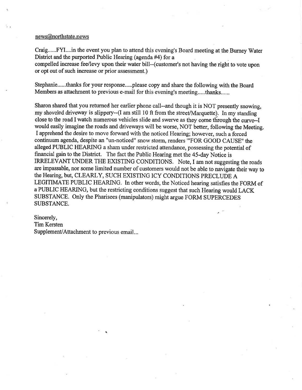#### news(anorthstate.news

Craig......FYl....in the event you plan to attend this evening's Board meeting at the Burney Water District and the purported Public Hearing (agenda #4) for a

compelled increase fee/levy upon their water bill--(customer's not having the right to vote upon or opt out of such increase or prior assessment.)

Stephanie......thanks for your response.....please copy and share the following with the Board Members as attachment to previous e-mail for this evening's meeting.....thanks......

Sharon shared that you returned her earlier phone call--and though it is NOT presently snowing, my shoveled driveway is slippery--(I am still 10 ft from the street/Marquette). In my standing close to the road I watch numerous vehicles slide and swerve as they come through the curve--I would easily imagine the roads and driveways will be worse, NOT better, following the Meeting. I apprehend the desire to move forward with the noticed Hearing; however, such a forced continuum agenda, despite an "un-noticed" snow storm, renders "'FOR GOOD CAUSE" the alleged PUBLIC HEARING a sham under restricted attendance, possessing the potential of financial gain to the District. The fact the Public Hearing met the 45-day Notice is IRRELEVANT LINDER THE EXISTING CONDITIONS. Note, I am not suggesting the roads are impassable, nor some limited number of customers would not be able to navigate their way to the Hearing, but, CLEARLY, SUCH EXISTING ICY CONDITIONS PRECLUDE A LEGITIMATE PUBLIC HEARING. In other words, the Noticed hearing satisfies the FORM of <sup>a</sup>PUBLIC HEARING, but the restricting conditions suggest that such Hearing would LACK SUBSTANCE. Only the Pharisees (manipulators) might argue FORM SUPERCEDES SUBSTANCE.

#### Sincerely,

## Tim Kersten

Supplement/Attachment to previous email...